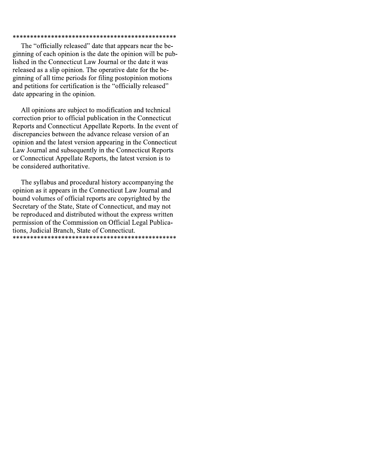### 

The "officially released" date that appears near the beginning of each opinion is the date the opinion will be published in the Connecticut Law Journal or the date it was released as a slip opinion. The operative date for the beginning of all time periods for filing postopinion motions and petitions for certification is the "officially released" date appearing in the opinion.

All opinions are subject to modification and technical correction prior to official publication in the Connecticut Reports and Connecticut Appellate Reports. In the event of discrepancies between the advance release version of an opinion and the latest version appearing in the Connecticut Law Journal and subsequently in the Connecticut Reports or Connecticut Appellate Reports, the latest version is to be considered authoritative.

The syllabus and procedural history accompanying the opinion as it appears in the Connecticut Law Journal and bound volumes of official reports are copyrighted by the Secretary of the State, State of Connecticut, and may not be reproduced and distributed without the express written permission of the Commission on Official Legal Publications, Judicial Branch, State of Connecticut.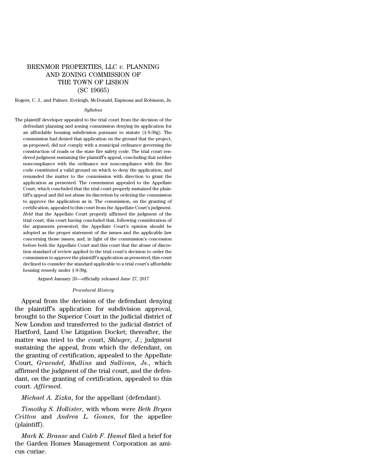# BRENMOR PROPERTIES, LLC *v.* PLANNING AND ZONING COMMISSION OF THE TOWN OF LISBON (SC 19665)

Rogers, C. J., and Palmer, Eveleigh, McDonald, Espinosa and Robinson, Js.

#### *Syllabus*

The plaintiff developer appealed to the trial court from the decision of the defendant planning and zoning commission denying its application for an affordable housing subdivision pursuant to statute (§ 8-30g). The commission had denied that application on the ground that the project, as proposed, did not comply with a municipal ordinance governing the construction of roads or the state fire safety code. The trial court rendered judgment sustaining the plaintiff's appeal, concluding that neither noncompliance with the ordinance nor noncompliance with the fire code constituted a valid ground on which to deny the application, and remanded the matter to the commission with direction to grant the application as presented. The commission appealed to the Appellate Court, which concluded that the trial court properly sustained the plaintiff's appeal and did not abuse its discretion by ordering the commission to approve the application as is. The commission, on the granting of certification, appealed to this court from the Appellate Court's judgment. *Held* that the Appellate Court properly affirmed the judgment of the trial court, this court having concluded that, following consideration of the arguments presented, the Appellate Court's opinion should be adopted as the proper statement of the issues and the applicable law concerning those issues, and, in light of the commission's concession before both the Appellate Court and this court that the abuse of discretion standard of review applied to the trial court's decision to order the commission to approve the plaintiff's application as presented, this court declined to consider the standard applicable to a trial court's affordable housing remedy under § 8-30g.

Argued January 20—officially released June 27, 2017

#### *Procedural History*

Appeal from the decision of the defendant denying the plaintiff's application for subdivision approval, brought to the Superior Court in the judicial district of New London and transferred to the judicial district of Hartford, Land Use Litigation Docket; thereafter, the matter was tried to the court, *Shluger, J.*; judgment sustaining the appeal, from which the defendant, on the granting of certification, appealed to the Appellate Court, *Gruendel*, *Mullins* and *Sullivan, Js.*, which affirmed the judgment of the trial court, and the defendant, on the granting of certification, appealed to this court. *Affirmed*.

*Michael A. Zizka*, for the appellant (defendant).

*Timothy S. Hollister*, with whom were *Beth Bryan Critton* and *Andrea L. Gomes*, for the appellee (plaintiff).

*Mark K. Branse* and *Caleb F. Hamel* filed a brief for the Garden Homes Management Corporation as amicus curiae.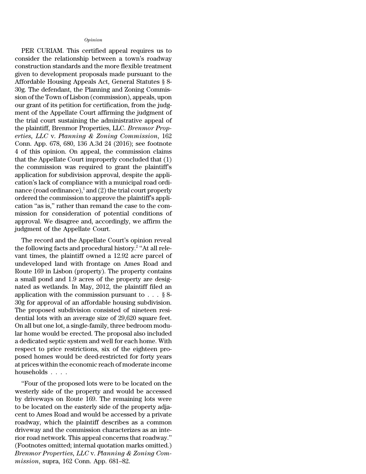# *Opinion*

PER CURIAM. This certified appeal requires us to consider the relationship between a town's roadway construction standards and the more flexible treatment given to development proposals made pursuant to the Affordable Housing Appeals Act, General Statutes § 8- 30g. The defendant, the Planning and Zoning Commission of the Town of Lisbon (commission), appeals, upon our grant of its petition for certification, from the judgment of the Appellate Court affirming the judgment of the trial court sustaining the administrative appeal of the plaintiff, Brenmor Properties, LLC. *Brenmor Properties, LLC* v. *Planning & Zoning Commission*, 162 Conn. App. 678, 680, 136 A.3d 24 (2016); see footnote 4 of this opinion. On appeal, the commission claims that the Appellate Court improperly concluded that (1) the commission was required to grant the plaintiff's application for subdivision approval, despite the application's lack of compliance with a municipal road ordinance (road ordinance),<sup>1</sup> and (2) the trial court properly ordered the commission to approve the plaintiff's application ''as is,'' rather than remand the case to the commission for consideration of potential conditions of approval. We disagree and, accordingly, we affirm the judgment of the Appellate Court.

The record and the Appellate Court's opinion reveal the following facts and procedural history.<sup>2</sup> ''At all relevant times, the plaintiff owned a 12.92 acre parcel of undeveloped land with frontage on Ames Road and Route 169 in Lisbon (property). The property contains a small pond and 1.9 acres of the property are designated as wetlands. In May, 2012, the plaintiff filed an application with the commission pursuant to  $\ldots$  § 8-30g for approval of an affordable housing subdivision. The proposed subdivision consisted of nineteen residential lots with an average size of 29,620 square feet. On all but one lot, a single-family, three bedroom modular home would be erected. The proposal also included a dedicated septic system and well for each home. With respect to price restrictions, six of the eighteen proposed homes would be deed-restricted for forty years at prices within the economic reach of moderate income households . . . .

''Four of the proposed lots were to be located on the westerly side of the property and would be accessed by driveways on Route 169. The remaining lots were to be located on the easterly side of the property adjacent to Ames Road and would be accessed by a private roadway, which the plaintiff describes as a common driveway and the commission characterizes as an interior road network. This appeal concerns that roadway.'' (Footnotes omitted; internal quotation marks omitted.) *Brenmor Properties, LLC* v. *Planning & Zoning Commission*, supra, 162 Conn. App. 681–82.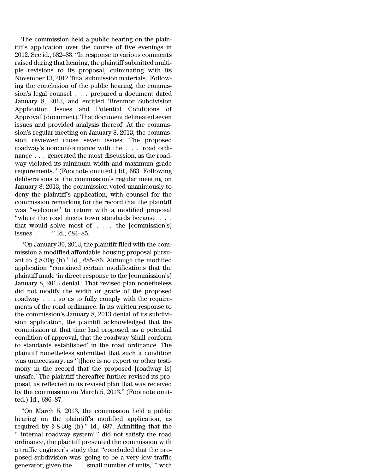The commission held a public hearing on the plaintiff's application over the course of five evenings in 2012. See id., 682–83. ''In response to various comments raised during that hearing, the plaintiff submitted multiple revisions to its proposal, culminating with its November 13, 2012 'final submission materials.' Following the conclusion of the public hearing, the commission's legal counsel . . . prepared a document dated January 8, 2013, and entitled 'Brenmor Subdivision Application Issues and Potential Conditions of Approval'(document). That document delineated seven issues and provided analysis thereof. At the commission's regular meeting on January 8, 2013, the commission reviewed those seven issues. The proposed roadway's nonconformance with the . . . road ordinance . . . generated the most discussion, as the roadway violated its minimum width and maximum grade requirements.'' (Footnote omitted.) Id., 683. Following deliberations at the commission's regular meeting on January 8, 2013, the commission voted unanimously to deny the plaintiff's application, with counsel for the commission remarking for the record that the plaintiff was ''welcome'' to return with a modified proposal "where the road meets town standards because  $\dots$ that would solve most of . . . the [commission's] issues . . . .'' Id., 684–85.

''On January 30, 2013, the plaintiff filed with the commission a modified affordable housing proposal pursuant to § 8-30g (h).'' Id., 685–86. Although the modified application ''contained certain modifications that the plaintiff made 'in direct response to the [commission's] January 8, 2013 denial.' That revised plan nonetheless did not modify the width or grade of the proposed roadway . . . so as to fully comply with the requirements of the road ordinance. In its written response to the commission's January 8, 2013 denial of its subdivision application, the plaintiff acknowledged that the commission at that time had proposed, as a potential condition of approval, that the roadway 'shall conform to standards established' in the road ordinance. The plaintiff nonetheless submitted that such a condition was unnecessary, as '[t]here is no expert or other testimony in the record that the proposed [roadway is] unsafe.' The plaintiff thereafter further revised its proposal, as reflected in its revised plan that was received by the commission on March 5, 2013.'' (Footnote omitted.) Id., 686–87.

''On March 5, 2013, the commission held a public hearing on the plaintiff's modified application, as required by § 8-30g (h).'' Id., 687. Admitting that the '' 'internal roadway system' '' did not satisfy the road ordinance, the plaintiff presented the commission with a traffic engineer's study that ''concluded that the proposed subdivision was 'going to be a very low traffic generator, given the . . . small number of units,' '' with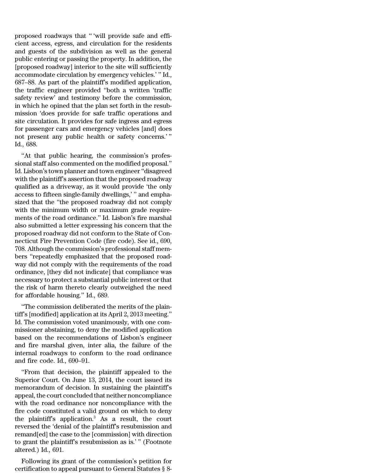proposed roadways that '' 'will provide safe and efficient access, egress, and circulation for the residents and guests of the subdivision as well as the general public entering or passing the property. In addition, the [proposed roadway] interior to the site will sufficiently accommodate circulation by emergency vehicles.' '' Id., 687–88. As part of the plaintiff's modified application, the traffic engineer provided ''both a written 'traffic safety review' and testimony before the commission, in which he opined that the plan set forth in the resubmission 'does provide for safe traffic operations and site circulation. It provides for safe ingress and egress for passenger cars and emergency vehicles [and] does not present any public health or safety concerns.' '' Id., 688.

''At that public hearing, the commission's professional staff also commented on the modified proposal.'' Id. Lisbon's town planner and town engineer ''disagreed with the plaintiff's assertion that the proposed roadway qualified as a driveway, as it would provide 'the only access to fifteen single-family dwellings,' '' and emphasized that the ''the proposed roadway did not comply with the minimum width or maximum grade requirements of the road ordinance.'' Id. Lisbon's fire marshal also submitted a letter expressing his concern that the proposed roadway did not conform to the State of Connecticut Fire Prevention Code (fire code). See id., 690, 708. Although the commission's professional staff members ''repeatedly emphasized that the proposed roadway did not comply with the requirements of the road ordinance, [they did not indicate] that compliance was necessary to protect a substantial public interest or that the risk of harm thereto clearly outweighed the need for affordable housing.'' Id., 689.

''The commission deliberated the merits of the plaintiff's [modified] application at its April 2, 2013 meeting.'' Id. The commission voted unanimously, with one commissioner abstaining, to deny the modified application based on the recommendations of Lisbon's engineer and fire marshal given, inter alia, the failure of the internal roadways to conform to the road ordinance and fire code. Id., 690–91.

''From that decision, the plaintiff appealed to the Superior Court. On June 13, 2014, the court issued its memorandum of decision. In sustaining the plaintiff's appeal, the court concluded that neither noncompliance with the road ordinance nor noncompliance with the fire code constituted a valid ground on which to deny the plaintiff's application.<sup>3</sup> As a result, the court reversed the 'denial of the plaintiff's resubmission and remand[ed] the case to the [commission] with direction to grant the plaintiff's resubmission as is.' '' (Footnote altered.) Id., 691.

Following its grant of the commission's petition for certification to appeal pursuant to General Statutes § 8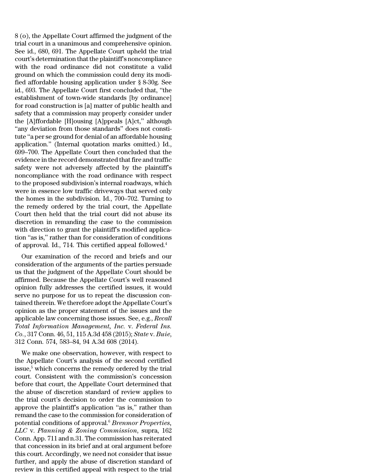8 (o), the Appellate Court affirmed the judgment of the trial court in a unanimous and comprehensive opinion. See id., 680, 691. The Appellate Court upheld the trial court's determination that the plaintiff's noncompliance with the road ordinance did not constitute a valid ground on which the commission could deny its modified affordable housing application under § 8-30g. See id., 693. The Appellate Court first concluded that, ''the establishment of town-wide standards [by ordinance] for road construction is [a] matter of public health and safety that a commission may properly consider under the [A]ffordable [H]ousing [A]ppeals [A]ct,'' although ''any deviation from those standards'' does not constitute ''a per se ground for denial of an affordable housing application.'' (Internal quotation marks omitted.) Id., 699–700. The Appellate Court then concluded that the evidence in the record demonstrated that fire and traffic safety were not adversely affected by the plaintiff's noncompliance with the road ordinance with respect to the proposed subdivision's internal roadways, which were in essence low traffic driveways that served only the homes in the subdivision. Id., 700–702. Turning to the remedy ordered by the trial court, the Appellate Court then held that the trial court did not abuse its discretion in remanding the case to the commission with direction to grant the plaintiff's modified application ''as is,'' rather than for consideration of conditions of approval. Id., 714. This certified appeal followed.<sup>4</sup>

Our examination of the record and briefs and our consideration of the arguments of the parties persuade us that the judgment of the Appellate Court should be affirmed. Because the Appellate Court's well reasoned opinion fully addresses the certified issues, it would serve no purpose for us to repeat the discussion contained therein. We therefore adopt the Appellate Court's opinion as the proper statement of the issues and the applicable law concerning those issues. See, e.g., *Recall Total Information Management, Inc.* v. *Federal Ins. Co.*, 317 Conn. 46, 51, 115 A.3d 458 (2015); *State* v. *Buie*, 312 Conn. 574, 583–84, 94 A.3d 608 (2014).

We make one observation, however, with respect to the Appellate Court's analysis of the second certified issue,<sup>5</sup> which concerns the remedy ordered by the trial court. Consistent with the commission's concession before that court, the Appellate Court determined that the abuse of discretion standard of review applies to the trial court's decision to order the commission to approve the plaintiff's application ''as is,'' rather than remand the case to the commission for consideration of potential conditions of approval.<sup>6</sup> *Brenmor Properties, LLC* v. *Planning & Zoning Commission*, supra, 162 Conn. App. 711 and n.31. The commission has reiterated that concession in its brief and at oral argument before this court. Accordingly, we need not consider that issue further, and apply the abuse of discretion standard of review in this certified appeal with respect to the trial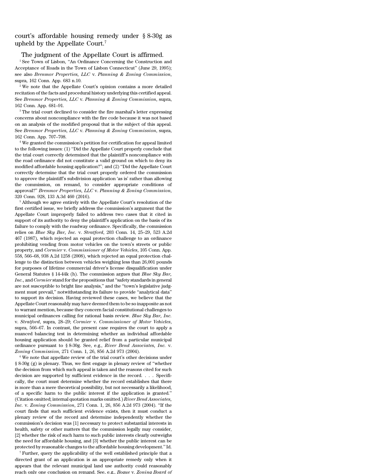# court's affordable housing remedy under § 8-30g as upheld by the Appellate Court.<sup>7</sup>

## The judgment of the Appellate Court is affirmed.

<sup>1</sup> See Town of Lisbon, "An Ordinance Concerning the Construction and Acceptance of Roads in the Town of Lisbon Connecticut'' (June 29, 1995); see also *Brenmor Properties, LLC* v. *Planning & Zoning Commission*, supra, 162 Conn. App. 683 n.10.

<sup>2</sup> We note that the Appellate Court's opinion contains a more detailed recitation of the facts and procedural history underlying this certified appeal. See *Brenmor Properties, LLC* v. *Planning & Zoning Commission*, supra, 162 Conn. App. 681–91.

<sup>3</sup> The trial court declined to consider the fire marshal's letter expressing concerns about noncompliance with the fire code because it was not based on an analysis of the modified proposal that is the subject of this appeal. See *Brenmor Properties, LLC* v. *Planning & Zoning Commission*, supra, 162 Conn. App. 707–708.

<sup>4</sup> We granted the commission's petition for certification for appeal limited to the following issues: (1) ''Did the Appellate Court properly conclude that the trial court correctly determined that the plaintiff's noncompliance with the road ordinance did not constitute a valid ground on which to deny its modified affordable housing application?''; and (2) ''Did the Appellate Court correctly determine that the trial court properly ordered the commission to approve the plaintiff's subdivision application 'as is' rather than allowing the commission, on remand, to consider appropriate conditions of approval?'' *Brenmor Properties, LLC* v. *Planning & Zoning Commission*, 320 Conn. 928, 133 A.3d 460 (2016).

<sup>5</sup> Although we agree entirely with the Appellate Court's resolution of the first certified issue, we briefly address the commission's argument that the Appellate Court improperly failed to address two cases that it cited in support of its authority to deny the plaintiff's application on the basis of its failure to comply with the roadway ordinance. Specifically, the commission relies on *Blue Sky Bar, Inc.* v. *Stratford*, 203 Conn. 14, 25–29, 523 A.2d 467 (1987), which rejected an equal protection challenge to an ordinance prohibiting vending from motor vehicles on the town's streets or public property, and *Cormier* v. *Commissioner of Motor Vehicles*, 105 Conn. App. 558, 566–68, 938 A.2d 1258 (2008), which rejected an equal protection challenge to the distinction between vehicles weighing less than 26,001 pounds for purposes of lifetime commercial driver's license disqualification under General Statutes § 14-44k (h). The commission argues that *Blue Sky Bar, Inc.,* and *Cormier* stand forthe propositions that ''safety standards in general are not susceptible to bright line analysis,'' and the ''town's legislative judgment must prevail,'' notwithstanding its failure to provide ''analytical data'' to support its decision. Having reviewed these cases, we believe that the Appellate Court reasonably may have deemed them to be so inapposite as not to warrant mention, because they concern facial constitutional challenges to municipal ordinances calling for rational basis review. *Blue Sky Bar, Inc.* v. *Stratford*, supra, 28–29; *Cormier* v. *Commissioner of Motor Vehicles*, supra, 566–67. In contrast, the present case requires the court to apply a nuanced balancing test in determining whether an individual affordable housing application should be granted relief from a particular municipal ordinance pursuant to § 8-30g. See, e.g., *River Bend Associates, Inc.* v. *Zoning Commission*, 271 Conn. 1, 26, 856 A.2d 973 (2004).

<sup>6</sup> We note that appellate review of the trial court's other decisions under § 8-30g (g) is plenary. Thus, we first engage in plenary review of ''whether the decision from which such appeal is taken and the reasons cited for such decision are supported by sufficient evidence in the record. . . . Specifically, the court must determine whether the record establishes that there is more than a mere theoretical possibility, but not necessarily a likelihood, of a specific harm to the public interest if the application is granted.'' (Citation omitted; internal quotation marks omitted.) *River Bend Associates, Inc.* v. *Zoning Commission*, 271 Conn. 1, 26, 856 A.2d 973 (2004). ''If the court finds that such sufficient evidence exists, then it must conduct a plenary review of the record and determine independently whether the commission's decision was [1] necessary to protect substantial interests in health, safety or other matters that the commission legally may consider, [2] whether the risk of such harm to such public interests clearly outweighs the need for affordable housing, and [3] whether the public interest can be protected by reasonable changes to the affordable housing development.'' Id.

<sup>7</sup> Further, query the applicability of the well established principle that a directed grant of an application is an appropriate remedy only when it appears that the relevant municipal land use authority could reasonably reach only one conclusion on remand. See, e.g., *Bogue* v. *Zoning Board of*